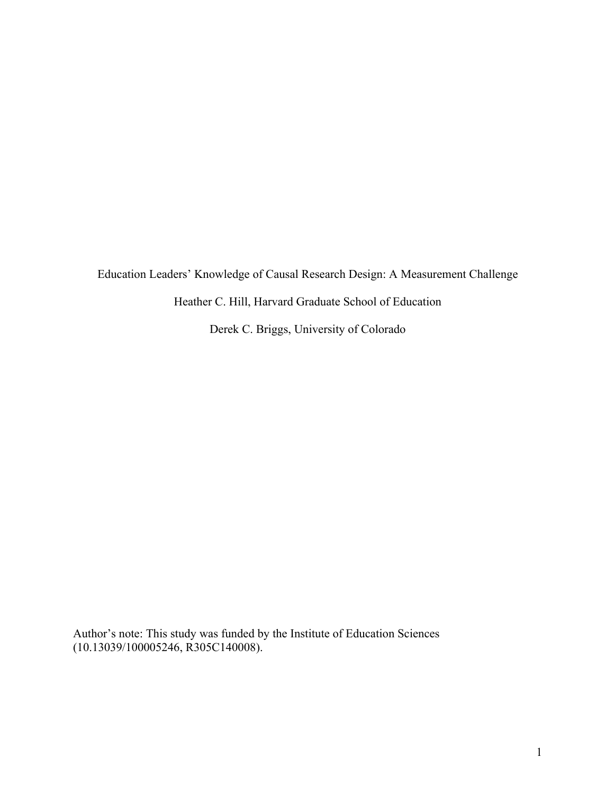Education Leaders' Knowledge of Causal Research Design: A Measurement Challenge

Heather C. Hill, Harvard Graduate School of Education

Derek C. Briggs, University of Colorado

Author's note: This study was funded by the Institute of Education Sciences (10.13039/100005246, R305C140008).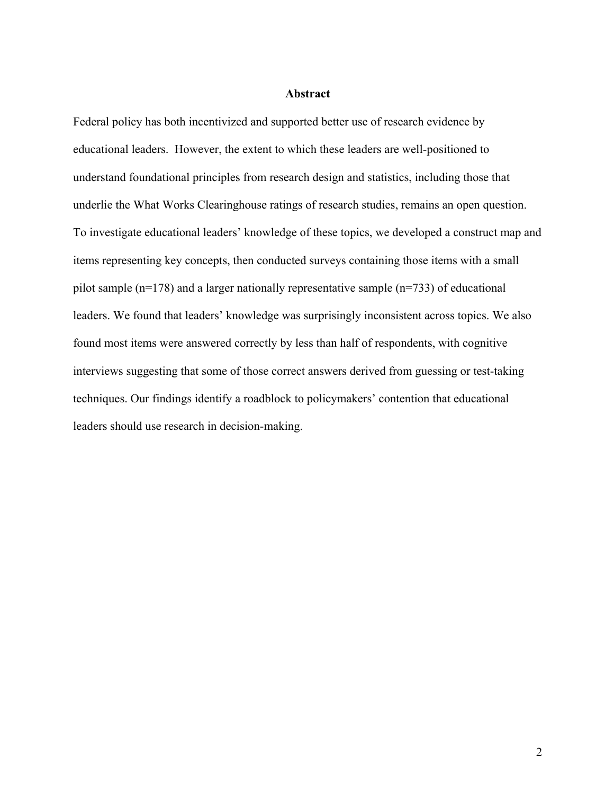## **Abstract**

Federal policy has both incentivized and supported better use of research evidence by educational leaders. However, the extent to which these leaders are well-positioned to understand foundational principles from research design and statistics, including those that underlie the What Works Clearinghouse ratings of research studies, remains an open question. To investigate educational leaders' knowledge of these topics, we developed a construct map and items representing key concepts, then conducted surveys containing those items with a small pilot sample (n=178) and a larger nationally representative sample (n=733) of educational leaders. We found that leaders' knowledge was surprisingly inconsistent across topics. We also found most items were answered correctly by less than half of respondents, with cognitive interviews suggesting that some of those correct answers derived from guessing or test-taking techniques. Our findings identify a roadblock to policymakers' contention that educational leaders should use research in decision-making.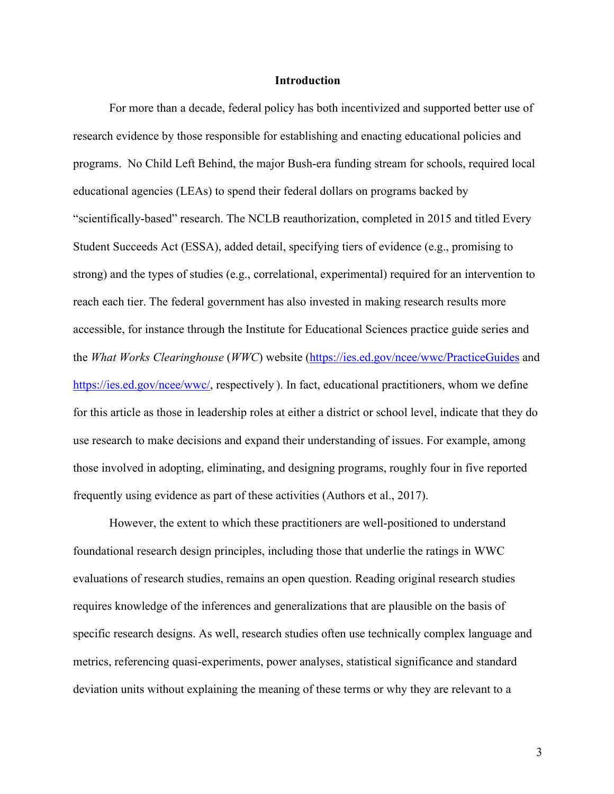### **Introduction**

For more than a decade, federal policy has both incentivized and supported better use of research evidence by those responsible for establishing and enacting educational policies and programs. No Child Left Behind, the major Bush-era funding stream for schools, required local educational agencies (LEAs) to spend their federal dollars on programs backed by "scientifically-based" research. The NCLB reauthorization, completed in 2015 and titled Every Student Succeeds Act (ESSA), added detail, specifying tiers of evidence (e.g., promising to strong) and the types of studies (e.g., correlational, experimental) required for an intervention to reach each tier. The federal government has also invested in making research results more accessible, for instance through the Institute for Educational Sciences practice guide series and the *What Works Clearinghouse* (*WWC*) website (https://ies.ed.gov/ncee/wwc/PracticeGuides and https://ies.ed.gov/ncee/wwc/, respectively ). In fact, educational practitioners, whom we define for this article as those in leadership roles at either a district or school level, indicate that they do use research to make decisions and expand their understanding of issues. For example, among those involved in adopting, eliminating, and designing programs, roughly four in five reported frequently using evidence as part of these activities (Authors et al., 2017).

However, the extent to which these practitioners are well-positioned to understand foundational research design principles, including those that underlie the ratings in WWC evaluations of research studies, remains an open question. Reading original research studies requires knowledge of the inferences and generalizations that are plausible on the basis of specific research designs. As well, research studies often use technically complex language and metrics, referencing quasi-experiments, power analyses, statistical significance and standard deviation units without explaining the meaning of these terms or why they are relevant to a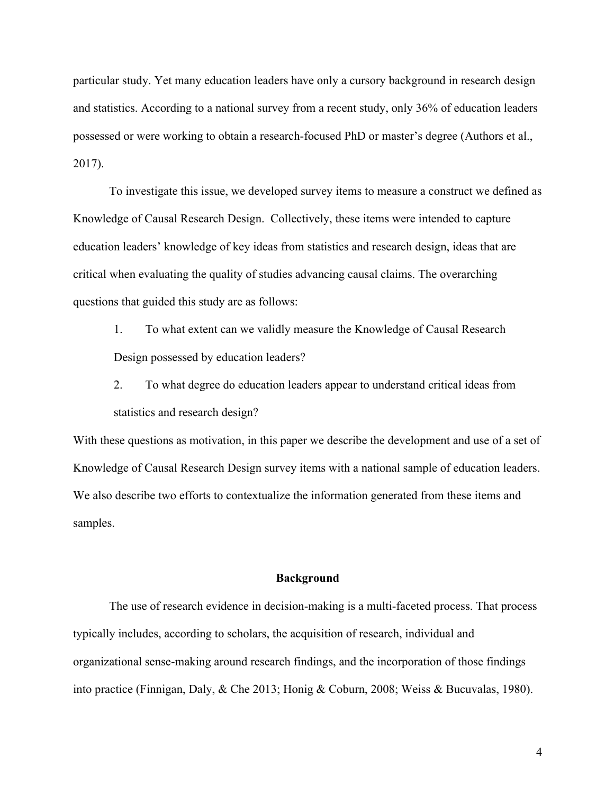particular study. Yet many education leaders have only a cursory background in research design and statistics. According to a national survey from a recent study, only 36% of education leaders possessed or were working to obtain a research-focused PhD or master's degree (Authors et al., 2017).

To investigate this issue, we developed survey items to measure a construct we defined as Knowledge of Causal Research Design. Collectively, these items were intended to capture education leaders' knowledge of key ideas from statistics and research design, ideas that are critical when evaluating the quality of studies advancing causal claims. The overarching questions that guided this study are as follows:

1. To what extent can we validly measure the Knowledge of Causal Research Design possessed by education leaders?

2. To what degree do education leaders appear to understand critical ideas from statistics and research design?

With these questions as motivation, in this paper we describe the development and use of a set of Knowledge of Causal Research Design survey items with a national sample of education leaders. We also describe two efforts to contextualize the information generated from these items and samples.

## **Background**

The use of research evidence in decision-making is a multi-faceted process. That process typically includes, according to scholars, the acquisition of research, individual and organizational sense-making around research findings, and the incorporation of those findings into practice (Finnigan, Daly, & Che 2013; Honig & Coburn, 2008; Weiss & Bucuvalas, 1980).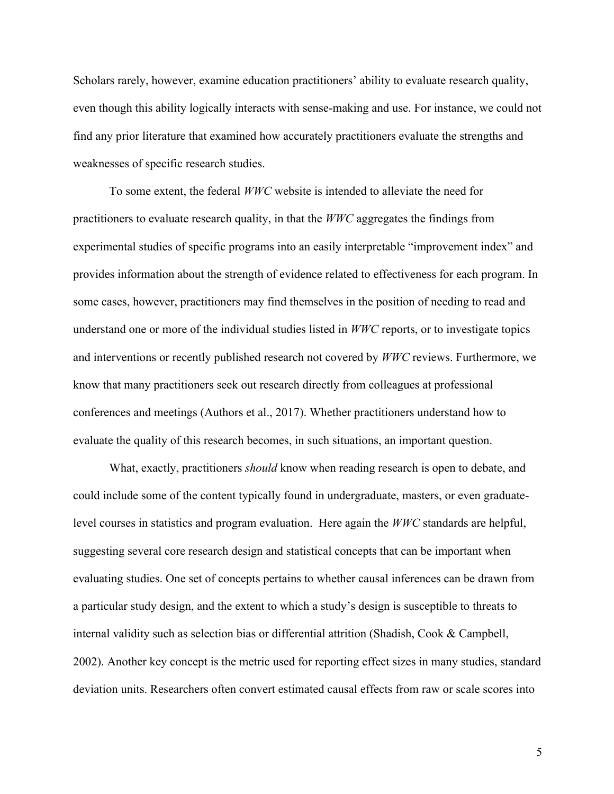Scholars rarely, however, examine education practitioners' ability to evaluate research quality, even though this ability logically interacts with sense-making and use. For instance, we could not find any prior literature that examined how accurately practitioners evaluate the strengths and weaknesses of specific research studies.

To some extent, the federal *WWC* website is intended to alleviate the need for practitioners to evaluate research quality, in that the *WWC* aggregates the findings from experimental studies of specific programs into an easily interpretable "improvement index" and provides information about the strength of evidence related to effectiveness for each program. In some cases, however, practitioners may find themselves in the position of needing to read and understand one or more of the individual studies listed in *WWC* reports, or to investigate topics and interventions or recently published research not covered by *WWC* reviews. Furthermore, we know that many practitioners seek out research directly from colleagues at professional conferences and meetings (Authors et al., 2017). Whether practitioners understand how to evaluate the quality of this research becomes, in such situations, an important question.

What, exactly, practitioners *should* know when reading research is open to debate, and could include some of the content typically found in undergraduate, masters, or even graduatelevel courses in statistics and program evaluation. Here again the *WWC* standards are helpful, suggesting several core research design and statistical concepts that can be important when evaluating studies. One set of concepts pertains to whether causal inferences can be drawn from a particular study design, and the extent to which a study's design is susceptible to threats to internal validity such as selection bias or differential attrition (Shadish, Cook & Campbell, 2002). Another key concept is the metric used for reporting effect sizes in many studies, standard deviation units. Researchers often convert estimated causal effects from raw or scale scores into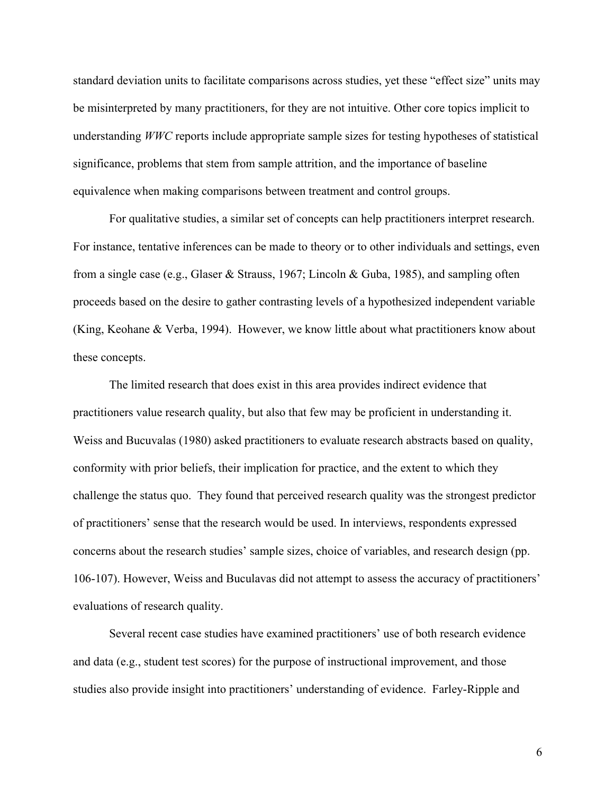standard deviation units to facilitate comparisons across studies, yet these "effect size" units may be misinterpreted by many practitioners, for they are not intuitive. Other core topics implicit to understanding *WWC* reports include appropriate sample sizes for testing hypotheses of statistical significance, problems that stem from sample attrition, and the importance of baseline equivalence when making comparisons between treatment and control groups.

For qualitative studies, a similar set of concepts can help practitioners interpret research. For instance, tentative inferences can be made to theory or to other individuals and settings, even from a single case (e.g., Glaser & Strauss, 1967; Lincoln & Guba, 1985), and sampling often proceeds based on the desire to gather contrasting levels of a hypothesized independent variable (King, Keohane & Verba, 1994). However, we know little about what practitioners know about these concepts.

The limited research that does exist in this area provides indirect evidence that practitioners value research quality, but also that few may be proficient in understanding it. Weiss and Bucuvalas (1980) asked practitioners to evaluate research abstracts based on quality, conformity with prior beliefs, their implication for practice, and the extent to which they challenge the status quo. They found that perceived research quality was the strongest predictor of practitioners' sense that the research would be used. In interviews, respondents expressed concerns about the research studies' sample sizes, choice of variables, and research design (pp. 106-107). However, Weiss and Buculavas did not attempt to assess the accuracy of practitioners' evaluations of research quality.

Several recent case studies have examined practitioners' use of both research evidence and data (e.g., student test scores) for the purpose of instructional improvement, and those studies also provide insight into practitioners' understanding of evidence. Farley-Ripple and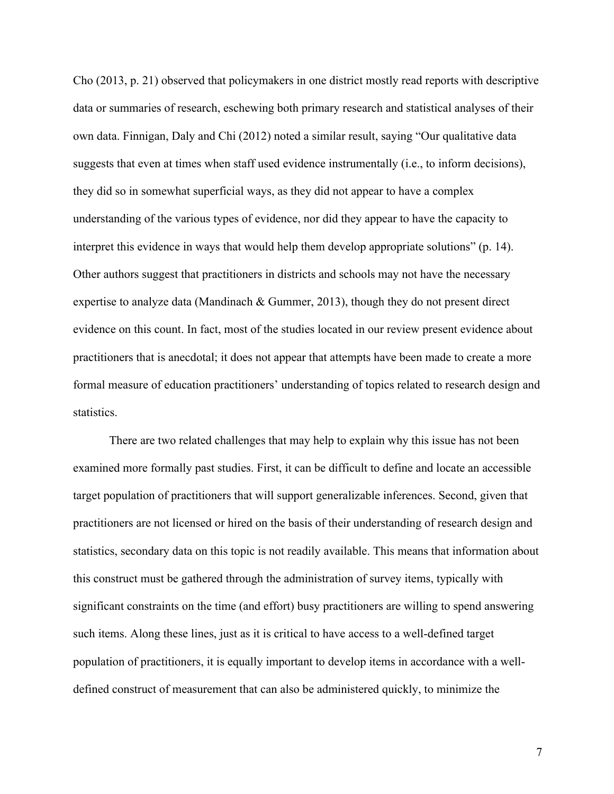Cho (2013, p. 21) observed that policymakers in one district mostly read reports with descriptive data or summaries of research, eschewing both primary research and statistical analyses of their own data. Finnigan, Daly and Chi (2012) noted a similar result, saying "Our qualitative data suggests that even at times when staff used evidence instrumentally (i.e., to inform decisions), they did so in somewhat superficial ways, as they did not appear to have a complex understanding of the various types of evidence, nor did they appear to have the capacity to interpret this evidence in ways that would help them develop appropriate solutions" (p. 14). Other authors suggest that practitioners in districts and schools may not have the necessary expertise to analyze data (Mandinach & Gummer, 2013), though they do not present direct evidence on this count. In fact, most of the studies located in our review present evidence about practitioners that is anecdotal; it does not appear that attempts have been made to create a more formal measure of education practitioners' understanding of topics related to research design and statistics.

There are two related challenges that may help to explain why this issue has not been examined more formally past studies. First, it can be difficult to define and locate an accessible target population of practitioners that will support generalizable inferences. Second, given that practitioners are not licensed or hired on the basis of their understanding of research design and statistics, secondary data on this topic is not readily available. This means that information about this construct must be gathered through the administration of survey items, typically with significant constraints on the time (and effort) busy practitioners are willing to spend answering such items. Along these lines, just as it is critical to have access to a well-defined target population of practitioners, it is equally important to develop items in accordance with a welldefined construct of measurement that can also be administered quickly, to minimize the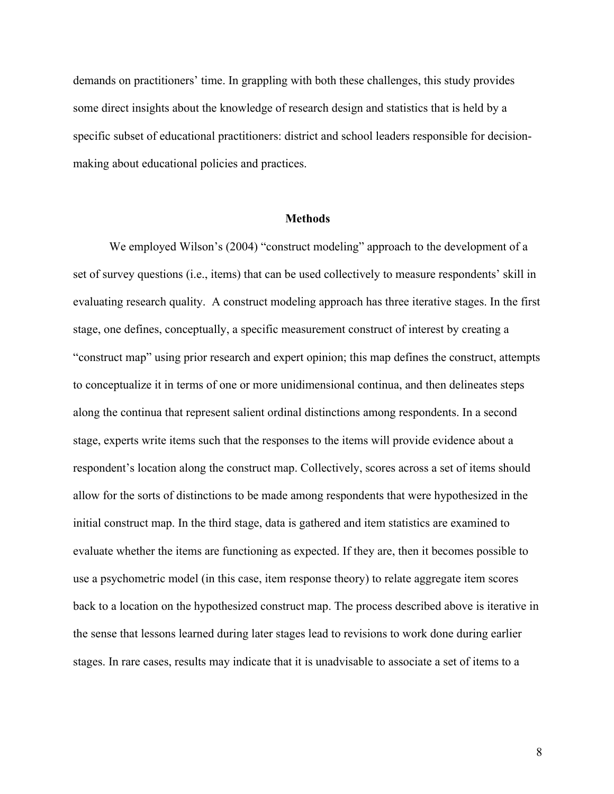demands on practitioners' time. In grappling with both these challenges, this study provides some direct insights about the knowledge of research design and statistics that is held by a specific subset of educational practitioners: district and school leaders responsible for decisionmaking about educational policies and practices.

### **Methods**

We employed Wilson's (2004) "construct modeling" approach to the development of a set of survey questions (i.e., items) that can be used collectively to measure respondents' skill in evaluating research quality. A construct modeling approach has three iterative stages. In the first stage, one defines, conceptually, a specific measurement construct of interest by creating a "construct map" using prior research and expert opinion; this map defines the construct, attempts to conceptualize it in terms of one or more unidimensional continua, and then delineates steps along the continua that represent salient ordinal distinctions among respondents. In a second stage, experts write items such that the responses to the items will provide evidence about a respondent's location along the construct map. Collectively, scores across a set of items should allow for the sorts of distinctions to be made among respondents that were hypothesized in the initial construct map. In the third stage, data is gathered and item statistics are examined to evaluate whether the items are functioning as expected. If they are, then it becomes possible to use a psychometric model (in this case, item response theory) to relate aggregate item scores back to a location on the hypothesized construct map. The process described above is iterative in the sense that lessons learned during later stages lead to revisions to work done during earlier stages. In rare cases, results may indicate that it is unadvisable to associate a set of items to a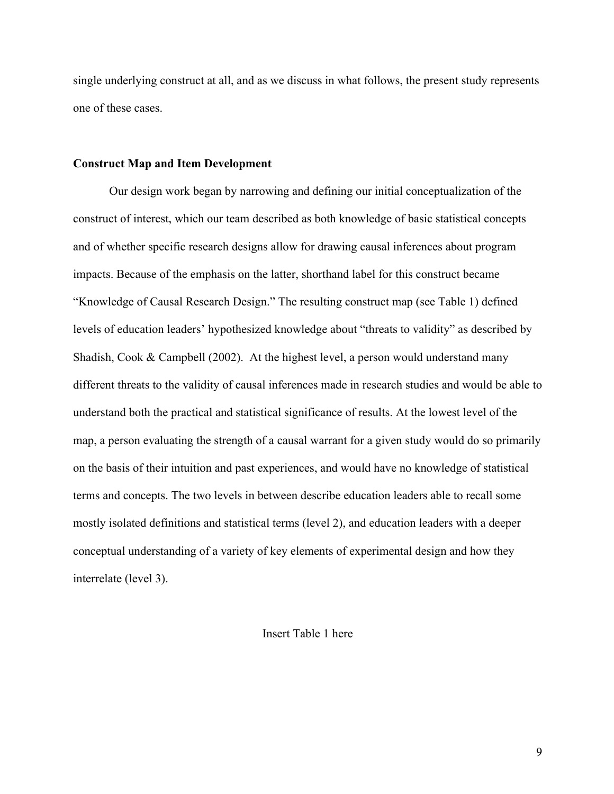single underlying construct at all, and as we discuss in what follows, the present study represents one of these cases.

#### **Construct Map and Item Development**

Our design work began by narrowing and defining our initial conceptualization of the construct of interest, which our team described as both knowledge of basic statistical concepts and of whether specific research designs allow for drawing causal inferences about program impacts. Because of the emphasis on the latter, shorthand label for this construct became "Knowledge of Causal Research Design." The resulting construct map (see Table 1) defined levels of education leaders' hypothesized knowledge about "threats to validity" as described by Shadish, Cook & Campbell (2002). At the highest level, a person would understand many different threats to the validity of causal inferences made in research studies and would be able to understand both the practical and statistical significance of results. At the lowest level of the map, a person evaluating the strength of a causal warrant for a given study would do so primarily on the basis of their intuition and past experiences, and would have no knowledge of statistical terms and concepts. The two levels in between describe education leaders able to recall some mostly isolated definitions and statistical terms (level 2), and education leaders with a deeper conceptual understanding of a variety of key elements of experimental design and how they interrelate (level 3).

## Insert Table 1 here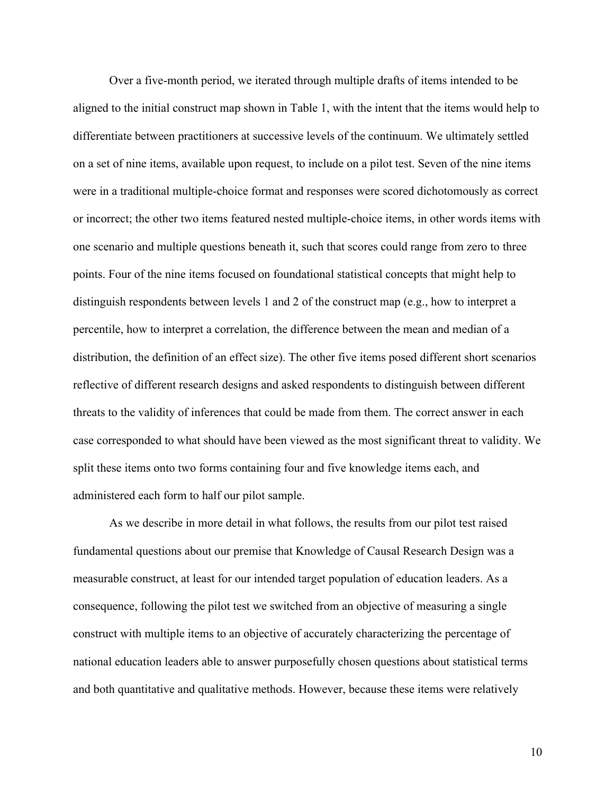Over a five-month period, we iterated through multiple drafts of items intended to be aligned to the initial construct map shown in Table 1, with the intent that the items would help to differentiate between practitioners at successive levels of the continuum. We ultimately settled on a set of nine items, available upon request, to include on a pilot test. Seven of the nine items were in a traditional multiple-choice format and responses were scored dichotomously as correct or incorrect; the other two items featured nested multiple-choice items, in other words items with one scenario and multiple questions beneath it, such that scores could range from zero to three points. Four of the nine items focused on foundational statistical concepts that might help to distinguish respondents between levels 1 and 2 of the construct map (e.g., how to interpret a percentile, how to interpret a correlation, the difference between the mean and median of a distribution, the definition of an effect size). The other five items posed different short scenarios reflective of different research designs and asked respondents to distinguish between different threats to the validity of inferences that could be made from them. The correct answer in each case corresponded to what should have been viewed as the most significant threat to validity. We split these items onto two forms containing four and five knowledge items each, and administered each form to half our pilot sample.

As we describe in more detail in what follows, the results from our pilot test raised fundamental questions about our premise that Knowledge of Causal Research Design was a measurable construct, at least for our intended target population of education leaders. As a consequence, following the pilot test we switched from an objective of measuring a single construct with multiple items to an objective of accurately characterizing the percentage of national education leaders able to answer purposefully chosen questions about statistical terms and both quantitative and qualitative methods. However, because these items were relatively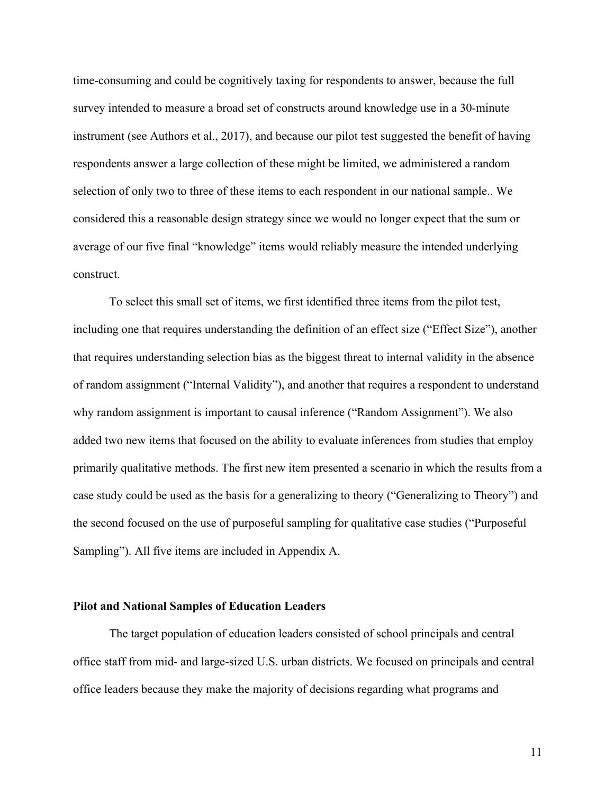time-consuming and could be cognitively taxing for respondents to answer, because the full survey intended to measure a broad set of constructs around knowledge use in a 30-minute instrument (see Authors et al., 2017), and because our pilot test suggested the benefit of having respondents answer a large collection of these might be limited, we administered a random selection of only two to three of these items to each respondent in our national sample.. We considered this a reasonable design strategy since we would no longer expect that the sum or average of our five final "knowledge" items would reliably measure the intended underlying construct.

To select this small set of items, we first identified three items from the pilot test, including one that requires understanding the definition of an effect size ("Effect Size"), another that requires understanding selection bias as the biggest threat to internal validity in the absence of random assignment ("Internal Validity"), and another that requires a respondent to understand why random assignment is important to causal inference ("Random Assignment"). We also added two new items that focused on the ability to evaluate inferences from studies that employ primarily qualitative methods. The first new item presented a scenario in which the results from a case study could be used as the basis for a generalizing to theory ("Generalizing to Theory") and the second focused on the use of purposeful sampling for qualitative case studies ("Purposeful Sampling"). All five items are included in Appendix A.

## **Pilot and National Samples of Education Leaders**

The target population of education leaders consisted of school principals and central office staff from mid- and large-sized U.S. urban districts. We focused on principals and central office leaders because they make the majority of decisions regarding what programs and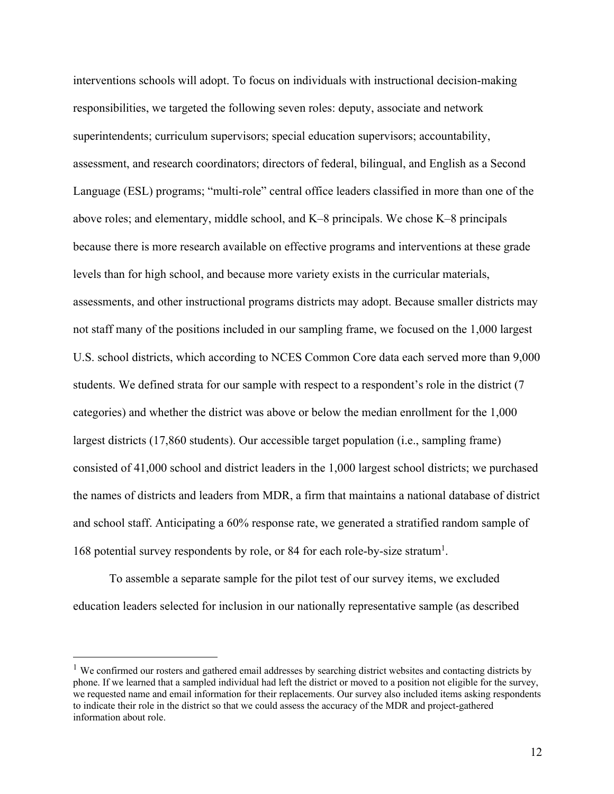interventions schools will adopt. To focus on individuals with instructional decision-making responsibilities, we targeted the following seven roles: deputy, associate and network superintendents; curriculum supervisors; special education supervisors; accountability, assessment, and research coordinators; directors of federal, bilingual, and English as a Second Language (ESL) programs; "multi-role" central office leaders classified in more than one of the above roles; and elementary, middle school, and K–8 principals. We chose K–8 principals because there is more research available on effective programs and interventions at these grade levels than for high school, and because more variety exists in the curricular materials, assessments, and other instructional programs districts may adopt. Because smaller districts may not staff many of the positions included in our sampling frame, we focused on the 1,000 largest U.S. school districts, which according to NCES Common Core data each served more than 9,000 students. We defined strata for our sample with respect to a respondent's role in the district (7 categories) and whether the district was above or below the median enrollment for the 1,000 largest districts (17,860 students). Our accessible target population (i.e., sampling frame) consisted of 41,000 school and district leaders in the 1,000 largest school districts; we purchased the names of districts and leaders from MDR, a firm that maintains a national database of district and school staff. Anticipating a 60% response rate, we generated a stratified random sample of 168 potential survey respondents by role, or 84 for each role-by-size stratum<sup>1</sup>.

To assemble a separate sample for the pilot test of our survey items, we excluded education leaders selected for inclusion in our nationally representative sample (as described

<sup>&</sup>lt;sup>1</sup> We confirmed our rosters and gathered email addresses by searching district websites and contacting districts by phone. If we learned that a sampled individual had left the district or moved to a position not eligible for the survey, we requested name and email information for their replacements. Our survey also included items asking respondents to indicate their role in the district so that we could assess the accuracy of the MDR and project-gathered information about role.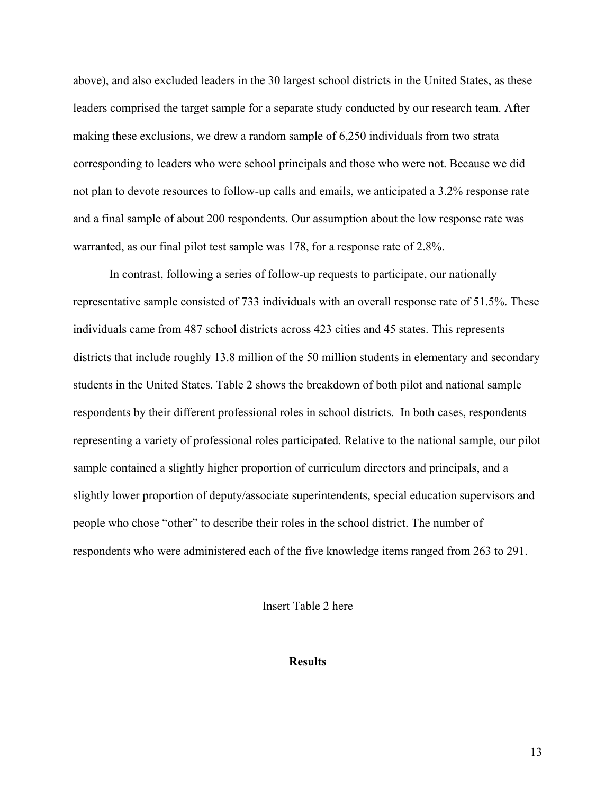above), and also excluded leaders in the 30 largest school districts in the United States, as these leaders comprised the target sample for a separate study conducted by our research team. After making these exclusions, we drew a random sample of 6,250 individuals from two strata corresponding to leaders who were school principals and those who were not. Because we did not plan to devote resources to follow-up calls and emails, we anticipated a 3.2% response rate and a final sample of about 200 respondents. Our assumption about the low response rate was warranted, as our final pilot test sample was 178, for a response rate of 2.8%.

In contrast, following a series of follow-up requests to participate, our nationally representative sample consisted of 733 individuals with an overall response rate of 51.5%. These individuals came from 487 school districts across 423 cities and 45 states. This represents districts that include roughly 13.8 million of the 50 million students in elementary and secondary students in the United States. Table 2 shows the breakdown of both pilot and national sample respondents by their different professional roles in school districts. In both cases, respondents representing a variety of professional roles participated. Relative to the national sample, our pilot sample contained a slightly higher proportion of curriculum directors and principals, and a slightly lower proportion of deputy/associate superintendents, special education supervisors and people who chose "other" to describe their roles in the school district. The number of respondents who were administered each of the five knowledge items ranged from 263 to 291.

Insert Table 2 here

**Results**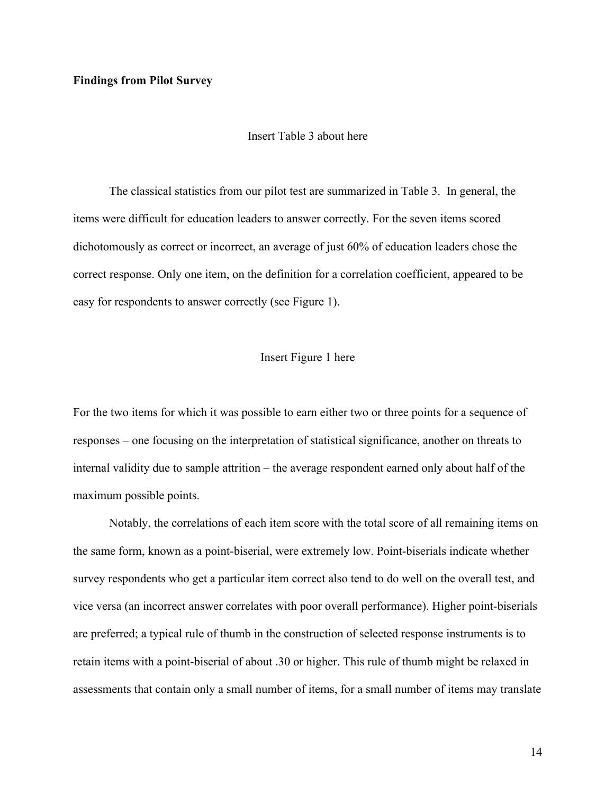## **Findings from Pilot Survey**

### Insert Table 3 about here

The classical statistics from our pilot test are summarized in Table 3. In general, the items were difficult for education leaders to answer correctly. For the seven items scored dichotomously as correct or incorrect, an average of just 60% of education leaders chose the correct response. Only one item, on the definition for a correlation coefficient, appeared to be easy for respondents to answer correctly (see Figure 1).

#### Insert Figure 1 here

For the two items for which it was possible to earn either two or three points for a sequence of responses – one focusing on the interpretation of statistical significance, another on threats to internal validity due to sample attrition – the average respondent earned only about half of the maximum possible points.

Notably, the correlations of each item score with the total score of all remaining items on the same form, known as a point-biserial, were extremely low. Point-biserials indicate whether survey respondents who get a particular item correct also tend to do well on the overall test, and vice versa (an incorrect answer correlates with poor overall performance). Higher point-biserials are preferred; a typical rule of thumb in the construction of selected response instruments is to retain items with a point-biserial of about .30 or higher. This rule of thumb might be relaxed in assessments that contain only a small number of items, for a small number of items may translate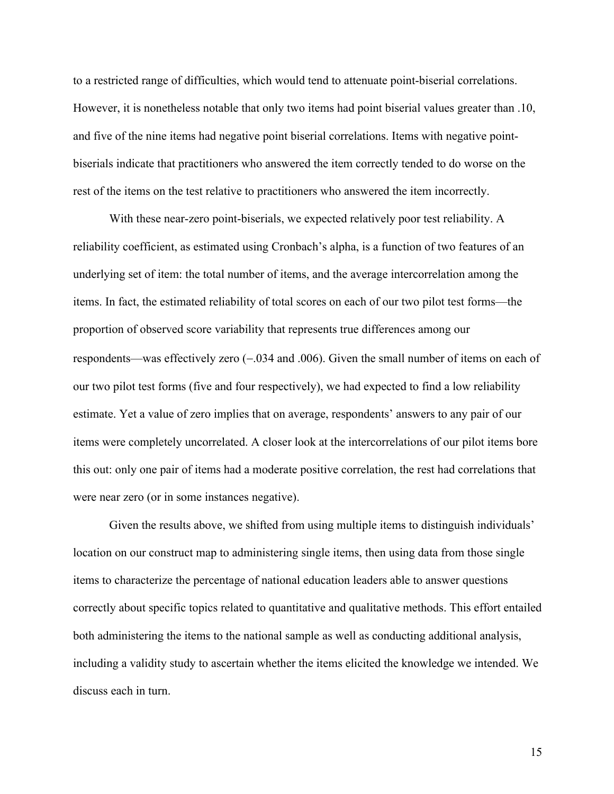to a restricted range of difficulties, which would tend to attenuate point-biserial correlations. However, it is nonetheless notable that only two items had point biserial values greater than .10, and five of the nine items had negative point biserial correlations. Items with negative pointbiserials indicate that practitioners who answered the item correctly tended to do worse on the rest of the items on the test relative to practitioners who answered the item incorrectly.

With these near-zero point-biserials, we expected relatively poor test reliability. A reliability coefficient, as estimated using Cronbach's alpha, is a function of two features of an underlying set of item: the total number of items, and the average intercorrelation among the items. In fact, the estimated reliability of total scores on each of our two pilot test forms—the proportion of observed score variability that represents true differences among our respondents—was effectively zero  $(-.034$  and  $.006)$ . Given the small number of items on each of our two pilot test forms (five and four respectively), we had expected to find a low reliability estimate. Yet a value of zero implies that on average, respondents' answers to any pair of our items were completely uncorrelated. A closer look at the intercorrelations of our pilot items bore this out: only one pair of items had a moderate positive correlation, the rest had correlations that were near zero (or in some instances negative).

Given the results above, we shifted from using multiple items to distinguish individuals' location on our construct map to administering single items, then using data from those single items to characterize the percentage of national education leaders able to answer questions correctly about specific topics related to quantitative and qualitative methods. This effort entailed both administering the items to the national sample as well as conducting additional analysis, including a validity study to ascertain whether the items elicited the knowledge we intended. We discuss each in turn.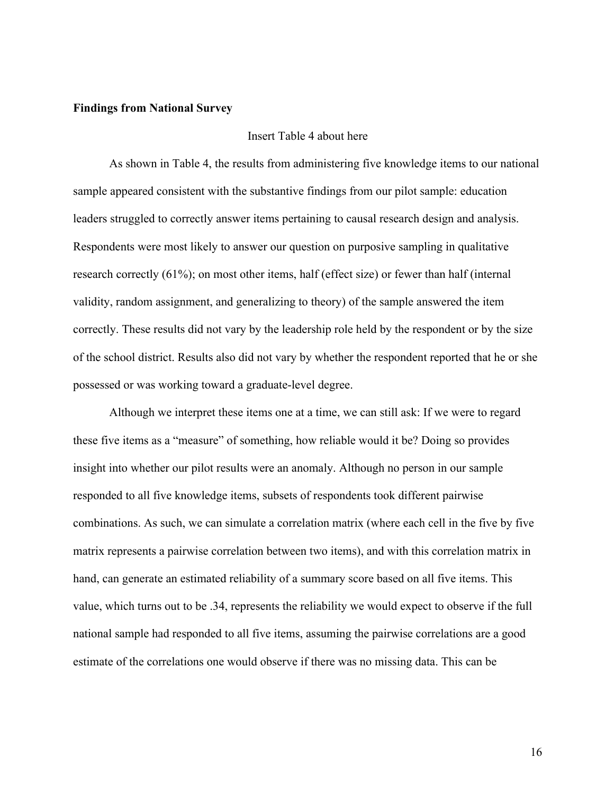### **Findings from National Survey**

### Insert Table 4 about here

As shown in Table 4, the results from administering five knowledge items to our national sample appeared consistent with the substantive findings from our pilot sample: education leaders struggled to correctly answer items pertaining to causal research design and analysis. Respondents were most likely to answer our question on purposive sampling in qualitative research correctly (61%); on most other items, half (effect size) or fewer than half (internal validity, random assignment, and generalizing to theory) of the sample answered the item correctly. These results did not vary by the leadership role held by the respondent or by the size of the school district. Results also did not vary by whether the respondent reported that he or she possessed or was working toward a graduate-level degree.

Although we interpret these items one at a time, we can still ask: If we were to regard these five items as a "measure" of something, how reliable would it be? Doing so provides insight into whether our pilot results were an anomaly. Although no person in our sample responded to all five knowledge items, subsets of respondents took different pairwise combinations. As such, we can simulate a correlation matrix (where each cell in the five by five matrix represents a pairwise correlation between two items), and with this correlation matrix in hand, can generate an estimated reliability of a summary score based on all five items. This value, which turns out to be .34, represents the reliability we would expect to observe if the full national sample had responded to all five items, assuming the pairwise correlations are a good estimate of the correlations one would observe if there was no missing data. This can be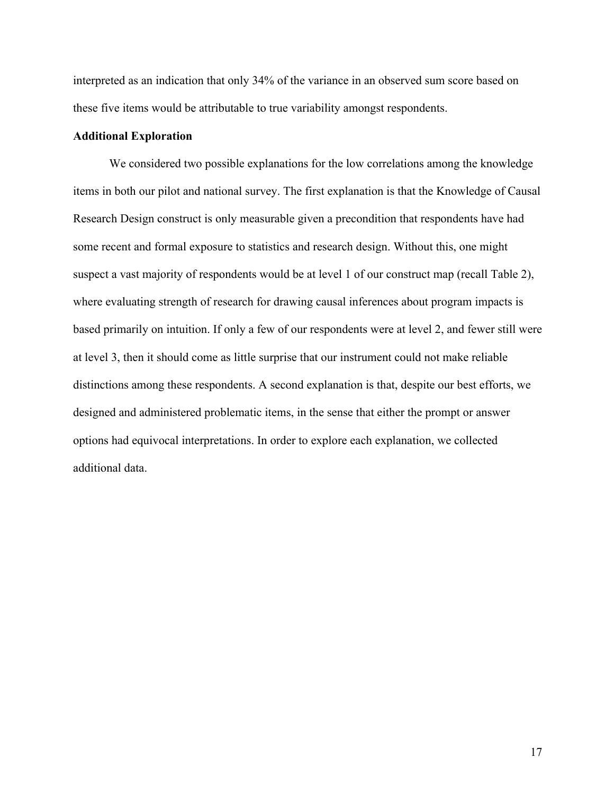interpreted as an indication that only 34% of the variance in an observed sum score based on these five items would be attributable to true variability amongst respondents.

### **Additional Exploration**

We considered two possible explanations for the low correlations among the knowledge items in both our pilot and national survey. The first explanation is that the Knowledge of Causal Research Design construct is only measurable given a precondition that respondents have had some recent and formal exposure to statistics and research design. Without this, one might suspect a vast majority of respondents would be at level 1 of our construct map (recall Table 2), where evaluating strength of research for drawing causal inferences about program impacts is based primarily on intuition. If only a few of our respondents were at level 2, and fewer still were at level 3, then it should come as little surprise that our instrument could not make reliable distinctions among these respondents. A second explanation is that, despite our best efforts, we designed and administered problematic items, in the sense that either the prompt or answer options had equivocal interpretations. In order to explore each explanation, we collected additional data.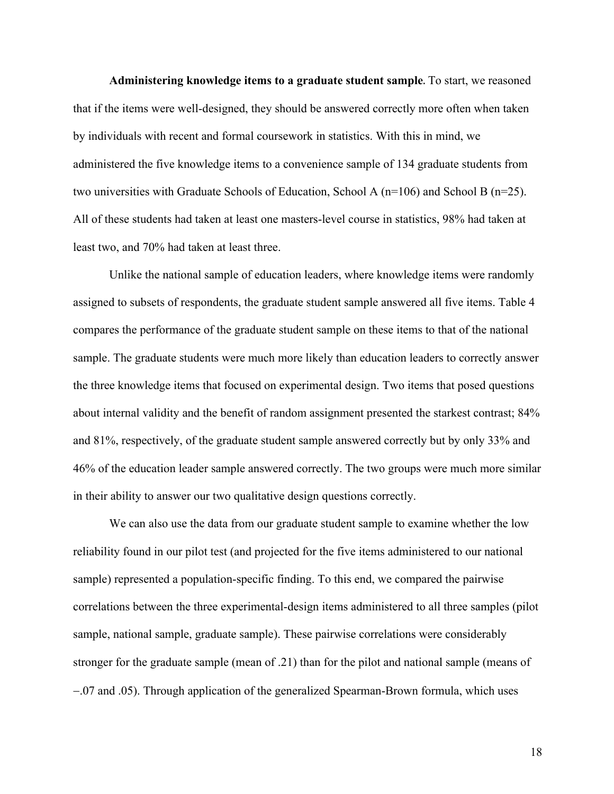**Administering knowledge items to a graduate student sample**. To start, we reasoned that if the items were well-designed, they should be answered correctly more often when taken by individuals with recent and formal coursework in statistics. With this in mind, we administered the five knowledge items to a convenience sample of 134 graduate students from two universities with Graduate Schools of Education, School A ( $n=106$ ) and School B ( $n=25$ ). All of these students had taken at least one masters-level course in statistics, 98% had taken at least two, and 70% had taken at least three.

Unlike the national sample of education leaders, where knowledge items were randomly assigned to subsets of respondents, the graduate student sample answered all five items. Table 4 compares the performance of the graduate student sample on these items to that of the national sample. The graduate students were much more likely than education leaders to correctly answer the three knowledge items that focused on experimental design. Two items that posed questions about internal validity and the benefit of random assignment presented the starkest contrast; 84% and 81%, respectively, of the graduate student sample answered correctly but by only 33% and 46% of the education leader sample answered correctly. The two groups were much more similar in their ability to answer our two qualitative design questions correctly.

We can also use the data from our graduate student sample to examine whether the low reliability found in our pilot test (and projected for the five items administered to our national sample) represented a population-specific finding. To this end, we compared the pairwise correlations between the three experimental-design items administered to all three samples (pilot sample, national sample, graduate sample). These pairwise correlations were considerably stronger for the graduate sample (mean of .21) than for the pilot and national sample (means of -.07 and .05). Through application of the generalized Spearman-Brown formula, which uses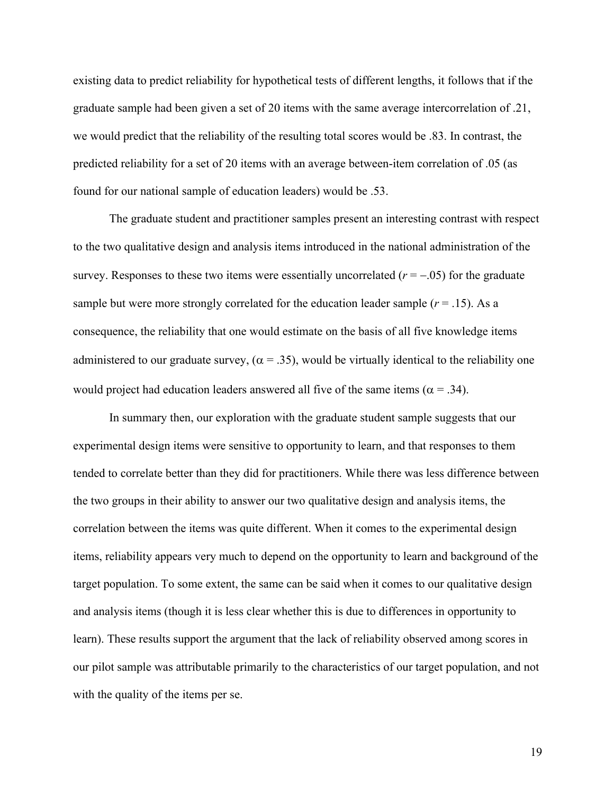existing data to predict reliability for hypothetical tests of different lengths, it follows that if the graduate sample had been given a set of 20 items with the same average intercorrelation of .21, we would predict that the reliability of the resulting total scores would be .83. In contrast, the predicted reliability for a set of 20 items with an average between-item correlation of .05 (as found for our national sample of education leaders) would be .53.

The graduate student and practitioner samples present an interesting contrast with respect to the two qualitative design and analysis items introduced in the national administration of the survey. Responses to these two items were essentially uncorrelated  $(r = -.05)$  for the graduate sample but were more strongly correlated for the education leader sample  $(r = .15)$ . As a consequence, the reliability that one would estimate on the basis of all five knowledge items administered to our graduate survey, ( $\alpha = 0.35$ ), would be virtually identical to the reliability one would project had education leaders answered all five of the same items ( $\alpha = .34$ ).

In summary then, our exploration with the graduate student sample suggests that our experimental design items were sensitive to opportunity to learn, and that responses to them tended to correlate better than they did for practitioners. While there was less difference between the two groups in their ability to answer our two qualitative design and analysis items, the correlation between the items was quite different. When it comes to the experimental design items, reliability appears very much to depend on the opportunity to learn and background of the target population. To some extent, the same can be said when it comes to our qualitative design and analysis items (though it is less clear whether this is due to differences in opportunity to learn). These results support the argument that the lack of reliability observed among scores in our pilot sample was attributable primarily to the characteristics of our target population, and not with the quality of the items per se.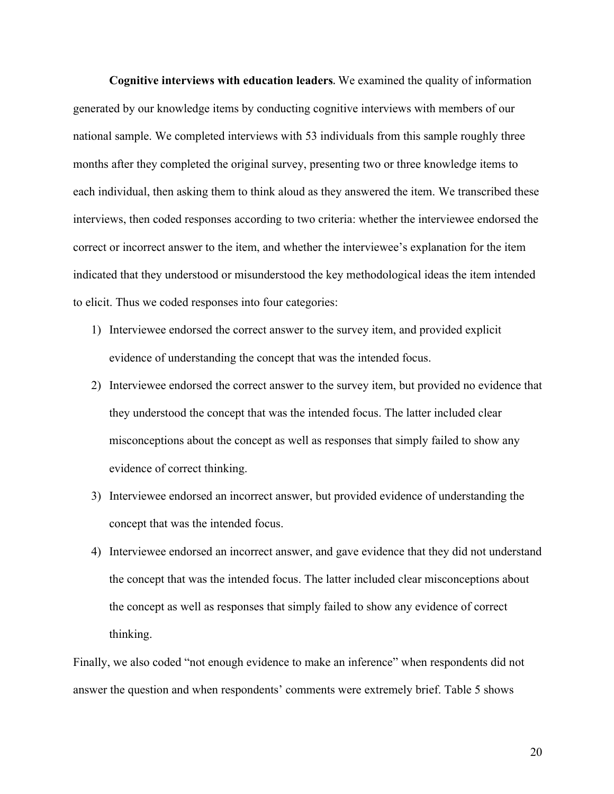**Cognitive interviews with education leaders**. We examined the quality of information generated by our knowledge items by conducting cognitive interviews with members of our national sample. We completed interviews with 53 individuals from this sample roughly three months after they completed the original survey, presenting two or three knowledge items to each individual, then asking them to think aloud as they answered the item. We transcribed these interviews, then coded responses according to two criteria: whether the interviewee endorsed the correct or incorrect answer to the item, and whether the interviewee's explanation for the item indicated that they understood or misunderstood the key methodological ideas the item intended to elicit. Thus we coded responses into four categories:

- 1) Interviewee endorsed the correct answer to the survey item, and provided explicit evidence of understanding the concept that was the intended focus.
- 2) Interviewee endorsed the correct answer to the survey item, but provided no evidence that they understood the concept that was the intended focus. The latter included clear misconceptions about the concept as well as responses that simply failed to show any evidence of correct thinking.
- 3) Interviewee endorsed an incorrect answer, but provided evidence of understanding the concept that was the intended focus.
- 4) Interviewee endorsed an incorrect answer, and gave evidence that they did not understand the concept that was the intended focus. The latter included clear misconceptions about the concept as well as responses that simply failed to show any evidence of correct thinking.

Finally, we also coded "not enough evidence to make an inference" when respondents did not answer the question and when respondents' comments were extremely brief. Table 5 shows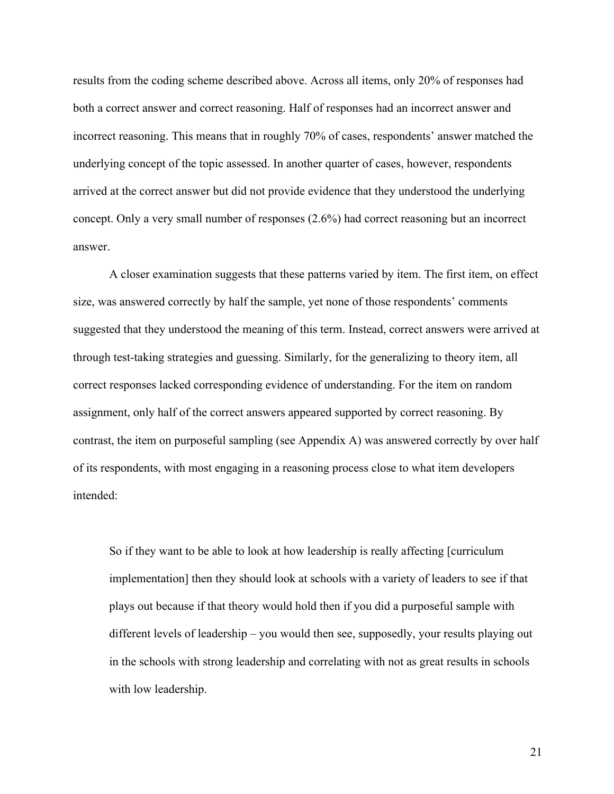results from the coding scheme described above. Across all items, only 20% of responses had both a correct answer and correct reasoning. Half of responses had an incorrect answer and incorrect reasoning. This means that in roughly 70% of cases, respondents' answer matched the underlying concept of the topic assessed. In another quarter of cases, however, respondents arrived at the correct answer but did not provide evidence that they understood the underlying concept. Only a very small number of responses (2.6%) had correct reasoning but an incorrect answer.

A closer examination suggests that these patterns varied by item. The first item, on effect size, was answered correctly by half the sample, yet none of those respondents' comments suggested that they understood the meaning of this term. Instead, correct answers were arrived at through test-taking strategies and guessing. Similarly, for the generalizing to theory item, all correct responses lacked corresponding evidence of understanding. For the item on random assignment, only half of the correct answers appeared supported by correct reasoning. By contrast, the item on purposeful sampling (see Appendix A) was answered correctly by over half of its respondents, with most engaging in a reasoning process close to what item developers intended:

So if they want to be able to look at how leadership is really affecting [curriculum implementation] then they should look at schools with a variety of leaders to see if that plays out because if that theory would hold then if you did a purposeful sample with different levels of leadership – you would then see, supposedly, your results playing out in the schools with strong leadership and correlating with not as great results in schools with low leadership.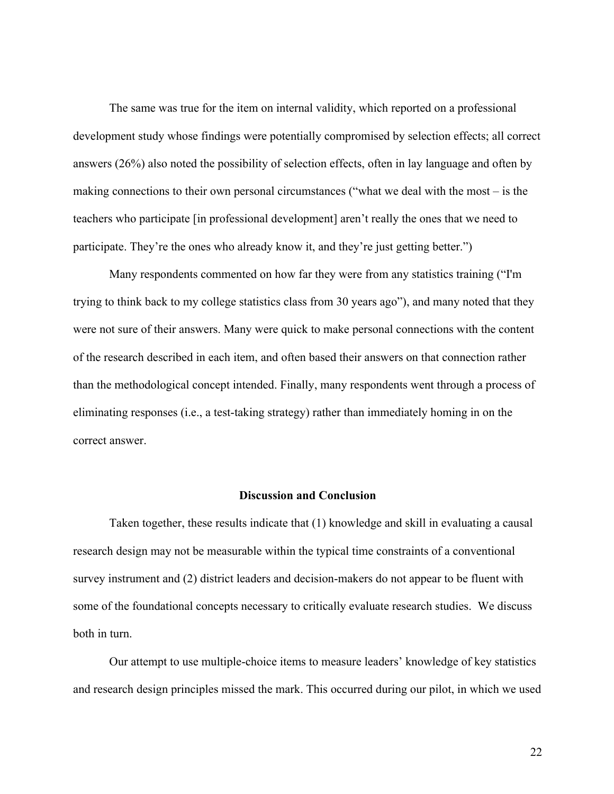The same was true for the item on internal validity, which reported on a professional development study whose findings were potentially compromised by selection effects; all correct answers (26%) also noted the possibility of selection effects, often in lay language and often by making connections to their own personal circumstances ("what we deal with the most – is the teachers who participate [in professional development] aren't really the ones that we need to participate. They're the ones who already know it, and they're just getting better.")

Many respondents commented on how far they were from any statistics training ("I'm trying to think back to my college statistics class from 30 years ago"), and many noted that they were not sure of their answers. Many were quick to make personal connections with the content of the research described in each item, and often based their answers on that connection rather than the methodological concept intended. Finally, many respondents went through a process of eliminating responses (i.e., a test-taking strategy) rather than immediately homing in on the correct answer.

### **Discussion and Conclusion**

Taken together, these results indicate that (1) knowledge and skill in evaluating a causal research design may not be measurable within the typical time constraints of a conventional survey instrument and (2) district leaders and decision-makers do not appear to be fluent with some of the foundational concepts necessary to critically evaluate research studies. We discuss both in turn.

Our attempt to use multiple-choice items to measure leaders' knowledge of key statistics and research design principles missed the mark. This occurred during our pilot, in which we used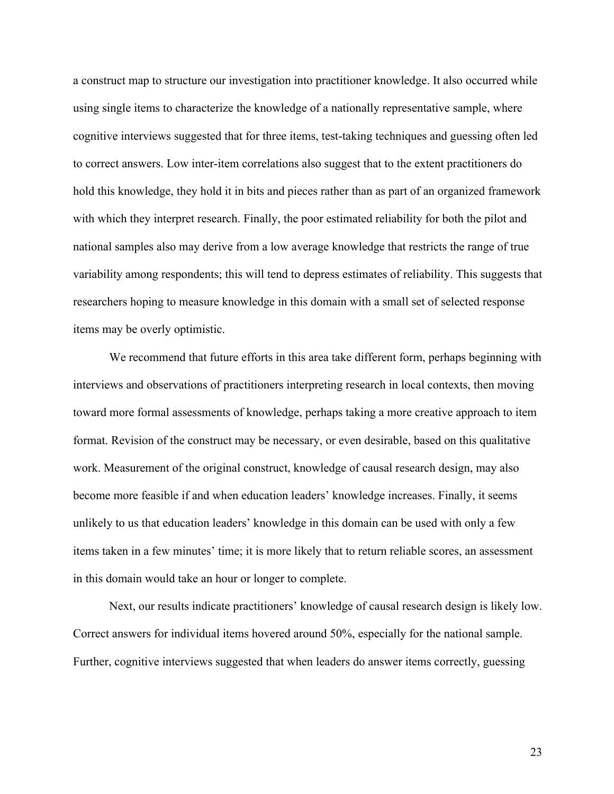a construct map to structure our investigation into practitioner knowledge. It also occurred while using single items to characterize the knowledge of a nationally representative sample, where cognitive interviews suggested that for three items, test-taking techniques and guessing often led to correct answers. Low inter-item correlations also suggest that to the extent practitioners do hold this knowledge, they hold it in bits and pieces rather than as part of an organized framework with which they interpret research. Finally, the poor estimated reliability for both the pilot and national samples also may derive from a low average knowledge that restricts the range of true variability among respondents; this will tend to depress estimates of reliability. This suggests that researchers hoping to measure knowledge in this domain with a small set of selected response items may be overly optimistic.

We recommend that future efforts in this area take different form, perhaps beginning with interviews and observations of practitioners interpreting research in local contexts, then moving toward more formal assessments of knowledge, perhaps taking a more creative approach to item format. Revision of the construct may be necessary, or even desirable, based on this qualitative work. Measurement of the original construct, knowledge of causal research design, may also become more feasible if and when education leaders' knowledge increases. Finally, it seems unlikely to us that education leaders' knowledge in this domain can be used with only a few items taken in a few minutes' time; it is more likely that to return reliable scores, an assessment in this domain would take an hour or longer to complete.

Next, our results indicate practitioners' knowledge of causal research design is likely low. Correct answers for individual items hovered around 50%, especially for the national sample. Further, cognitive interviews suggested that when leaders do answer items correctly, guessing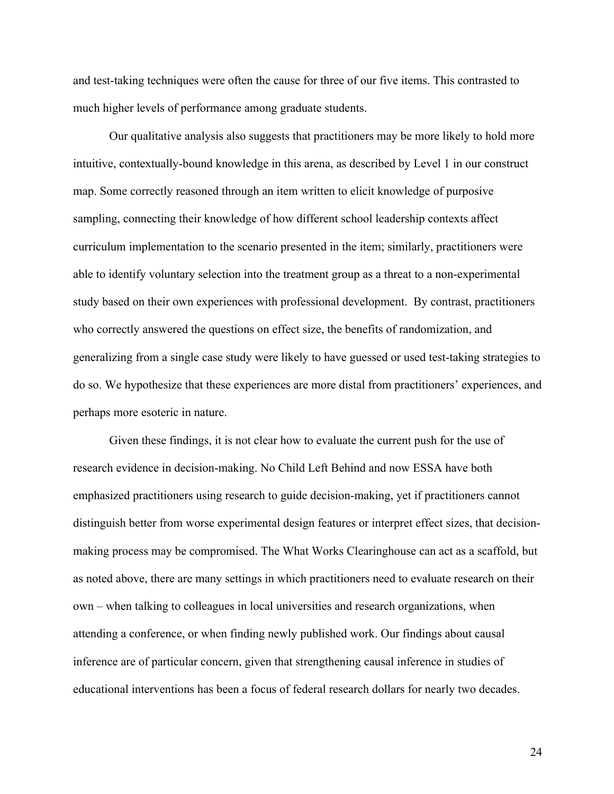and test-taking techniques were often the cause for three of our five items. This contrasted to much higher levels of performance among graduate students.

Our qualitative analysis also suggests that practitioners may be more likely to hold more intuitive, contextually-bound knowledge in this arena, as described by Level 1 in our construct map. Some correctly reasoned through an item written to elicit knowledge of purposive sampling, connecting their knowledge of how different school leadership contexts affect curriculum implementation to the scenario presented in the item; similarly, practitioners were able to identify voluntary selection into the treatment group as a threat to a non-experimental study based on their own experiences with professional development. By contrast, practitioners who correctly answered the questions on effect size, the benefits of randomization, and generalizing from a single case study were likely to have guessed or used test-taking strategies to do so. We hypothesize that these experiences are more distal from practitioners' experiences, and perhaps more esoteric in nature.

Given these findings, it is not clear how to evaluate the current push for the use of research evidence in decision-making. No Child Left Behind and now ESSA have both emphasized practitioners using research to guide decision-making, yet if practitioners cannot distinguish better from worse experimental design features or interpret effect sizes, that decisionmaking process may be compromised. The What Works Clearinghouse can act as a scaffold, but as noted above, there are many settings in which practitioners need to evaluate research on their own – when talking to colleagues in local universities and research organizations, when attending a conference, or when finding newly published work. Our findings about causal inference are of particular concern, given that strengthening causal inference in studies of educational interventions has been a focus of federal research dollars for nearly two decades.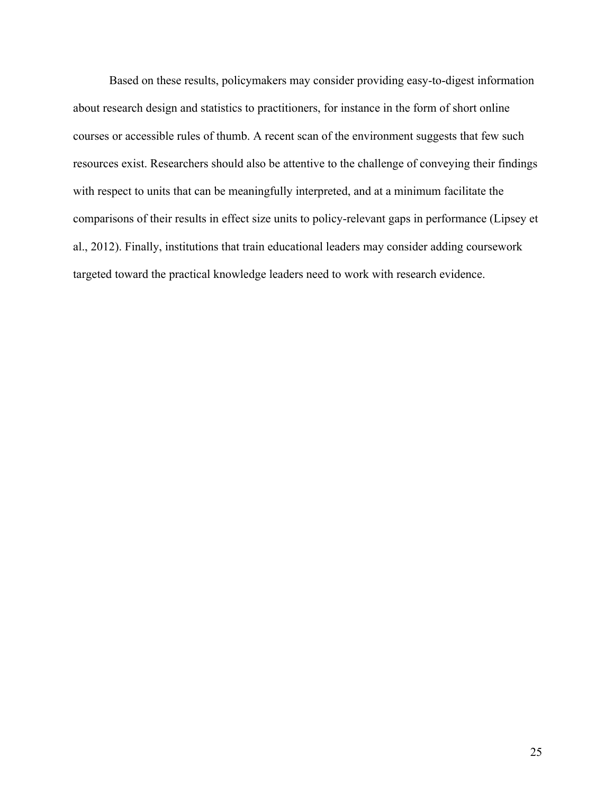Based on these results, policymakers may consider providing easy-to-digest information about research design and statistics to practitioners, for instance in the form of short online courses or accessible rules of thumb. A recent scan of the environment suggests that few such resources exist. Researchers should also be attentive to the challenge of conveying their findings with respect to units that can be meaningfully interpreted, and at a minimum facilitate the comparisons of their results in effect size units to policy-relevant gaps in performance (Lipsey et al., 2012). Finally, institutions that train educational leaders may consider adding coursework targeted toward the practical knowledge leaders need to work with research evidence.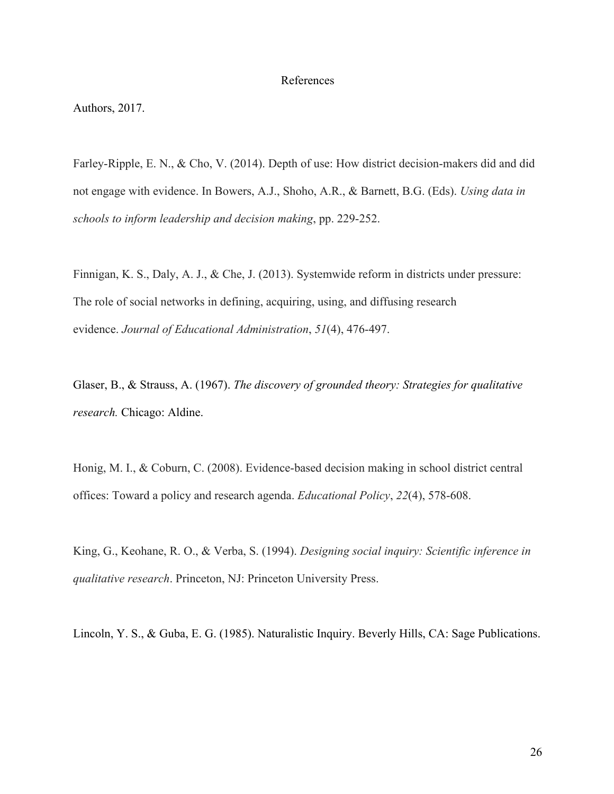#### References

Authors, 2017.

Farley-Ripple, E. N., & Cho, V. (2014). Depth of use: How district decision-makers did and did not engage with evidence. In Bowers, A.J., Shoho, A.R., & Barnett, B.G. (Eds). *Using data in schools to inform leadership and decision making*, pp. 229-252.

Finnigan, K. S., Daly, A. J., & Che, J. (2013). Systemwide reform in districts under pressure: The role of social networks in defining, acquiring, using, and diffusing research evidence. *Journal of Educational Administration*, *51*(4), 476-497.

Glaser, B., & Strauss, A. (1967). *The discovery of grounded theory: Strategies for qualitative research.* Chicago: Aldine.

Honig, M. I., & Coburn, C. (2008). Evidence-based decision making in school district central offices: Toward a policy and research agenda. *Educational Policy*, *22*(4), 578-608.

King, G., Keohane, R. O., & Verba, S. (1994). *Designing social inquiry: Scientific inference in qualitative research*. Princeton, NJ: Princeton University Press.

Lincoln, Y. S., & Guba, E. G. (1985). Naturalistic Inquiry. Beverly Hills, CA: Sage Publications.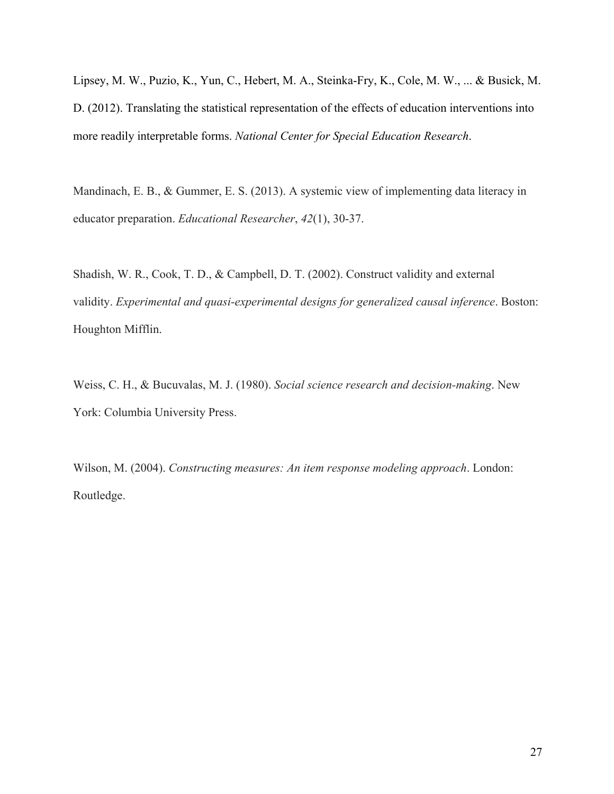Lipsey, M. W., Puzio, K., Yun, C., Hebert, M. A., Steinka-Fry, K., Cole, M. W., ... & Busick, M. D. (2012). Translating the statistical representation of the effects of education interventions into more readily interpretable forms. *National Center for Special Education Research*.

Mandinach, E. B., & Gummer, E. S. (2013). A systemic view of implementing data literacy in educator preparation. *Educational Researcher*, *42*(1), 30-37.

Shadish, W. R., Cook, T. D., & Campbell, D. T. (2002). Construct validity and external validity. *Experimental and quasi-experimental designs for generalized causal inference*. Boston: Houghton Mifflin.

Weiss, C. H., & Bucuvalas, M. J. (1980). *Social science research and decision-making*. New York: Columbia University Press.

Wilson, M. (2004). *Constructing measures: An item response modeling approach*. London: Routledge.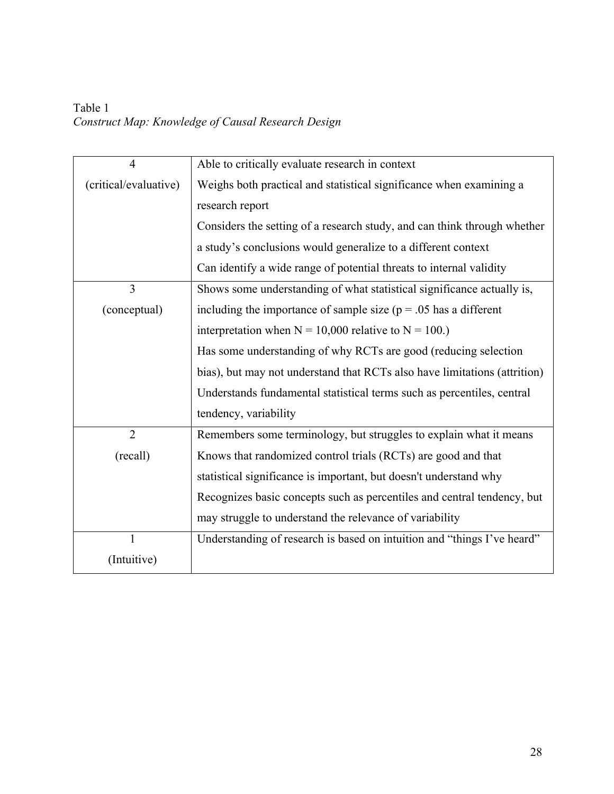Table 1 *Construct Map: Knowledge of Causal Research Design*

| $\overline{4}$        | Able to critically evaluate research in context                           |  |  |  |  |  |
|-----------------------|---------------------------------------------------------------------------|--|--|--|--|--|
| (critical/evaluative) | Weighs both practical and statistical significance when examining a       |  |  |  |  |  |
|                       | research report                                                           |  |  |  |  |  |
|                       | Considers the setting of a research study, and can think through whether  |  |  |  |  |  |
|                       | a study's conclusions would generalize to a different context             |  |  |  |  |  |
|                       | Can identify a wide range of potential threats to internal validity       |  |  |  |  |  |
| $\overline{3}$        | Shows some understanding of what statistical significance actually is,    |  |  |  |  |  |
| (conceptual)          | including the importance of sample size ( $p = .05$ has a different       |  |  |  |  |  |
|                       | interpretation when $N = 10,000$ relative to $N = 100$ .)                 |  |  |  |  |  |
|                       | Has some understanding of why RCTs are good (reducing selection           |  |  |  |  |  |
|                       | bias), but may not understand that RCTs also have limitations (attrition) |  |  |  |  |  |
|                       | Understands fundamental statistical terms such as percentiles, central    |  |  |  |  |  |
|                       | tendency, variability                                                     |  |  |  |  |  |
| $\overline{2}$        | Remembers some terminology, but struggles to explain what it means        |  |  |  |  |  |
| (recall)              | Knows that randomized control trials (RCTs) are good and that             |  |  |  |  |  |
|                       | statistical significance is important, but doesn't understand why         |  |  |  |  |  |
|                       | Recognizes basic concepts such as percentiles and central tendency, but   |  |  |  |  |  |
|                       | may struggle to understand the relevance of variability                   |  |  |  |  |  |
|                       | Understanding of research is based on intuition and "things I've heard"   |  |  |  |  |  |
| (Intuitive)           |                                                                           |  |  |  |  |  |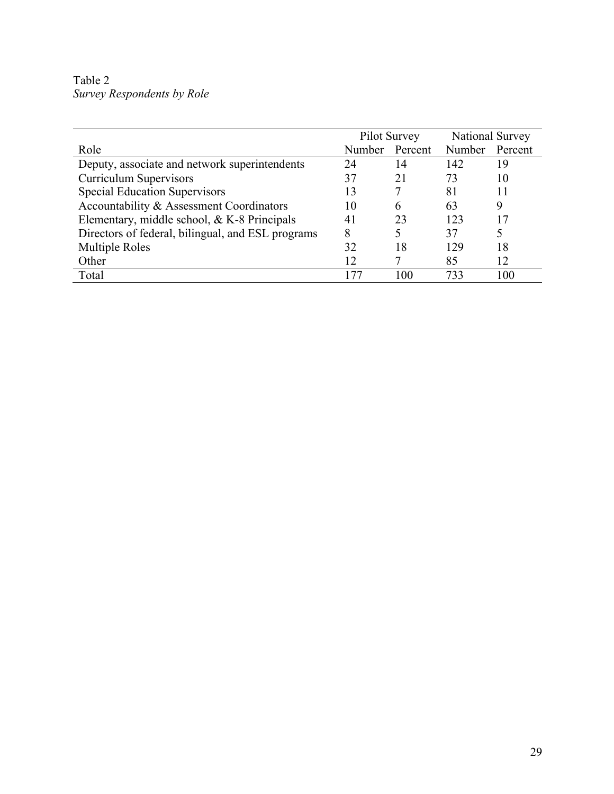Table 2 *Survey Respondents by Role* 

|                                                   | Pilot Survey |         | National Survey |         |
|---------------------------------------------------|--------------|---------|-----------------|---------|
| Role                                              | Number       | Percent | Number          | Percent |
| Deputy, associate and network superintendents     | 24           | 14      | 142             | 19      |
| <b>Curriculum Supervisors</b>                     | 37           | 21      | 73              | 10      |
| <b>Special Education Supervisors</b>              | 13           |         | 81              | 11      |
| Accountability & Assessment Coordinators          | 10           | h       | 63              | 9       |
| Elementary, middle school, & K-8 Principals       | 41           | 23      | 123             | 17      |
| Directors of federal, bilingual, and ESL programs | 8            | 5       | 37              |         |
| <b>Multiple Roles</b>                             | 32           | 18      | 129             | 18      |
| Other                                             | 12           |         | 85              | 12      |
| Total                                             | 177          | 100     | 733             | 100     |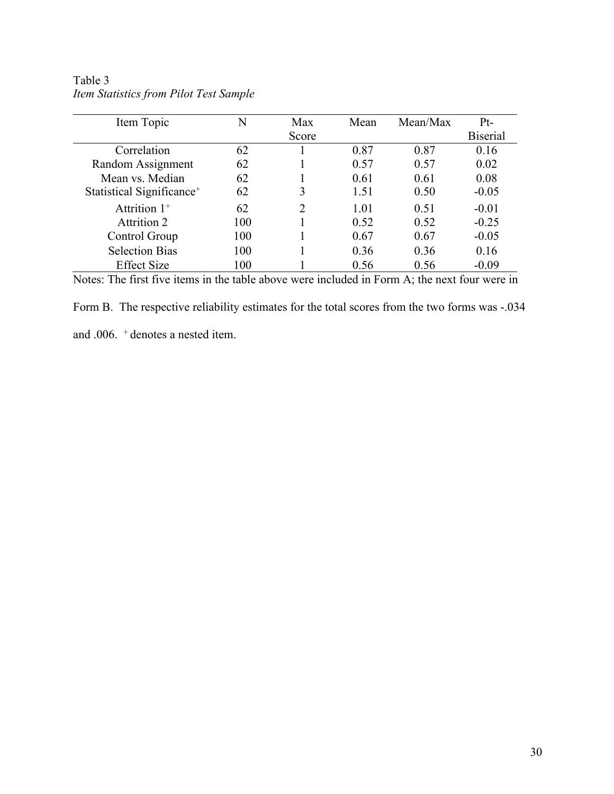| Item Topic                            | N   | Max                         | Mean | Mean/Max | $Pt-$           |
|---------------------------------------|-----|-----------------------------|------|----------|-----------------|
|                                       |     | Score                       |      |          | <b>Biserial</b> |
| Correlation                           | 62  |                             | 0.87 | 0.87     | 0.16            |
| Random Assignment                     | 62  |                             | 0.57 | 0.57     | 0.02            |
| Mean vs. Median                       | 62  |                             | 0.61 | 0.61     | 0.08            |
| Statistical Significance <sup>+</sup> | 62  | 3                           | 1.51 | 0.50     | $-0.05$         |
| Attrition $1^+$                       | 62  | $\mathcal{D}_{\mathcal{A}}$ | 1.01 | 0.51     | $-0.01$         |
| Attrition 2                           | 100 |                             | 0.52 | 0.52     | $-0.25$         |
| Control Group                         | 100 |                             | 0.67 | 0.67     | $-0.05$         |
| <b>Selection Bias</b>                 | 100 |                             | 0.36 | 0.36     | 0.16            |
| <b>Effect Size</b>                    | 100 |                             | 0.56 | 0.56     | $-0.09$         |

Table 3 *Item Statistics from Pilot Test Sample*

Notes: The first five items in the table above were included in Form A; the next four were in

Form B. The respective reliability estimates for the total scores from the two forms was -.034

and .006. + denotes a nested item.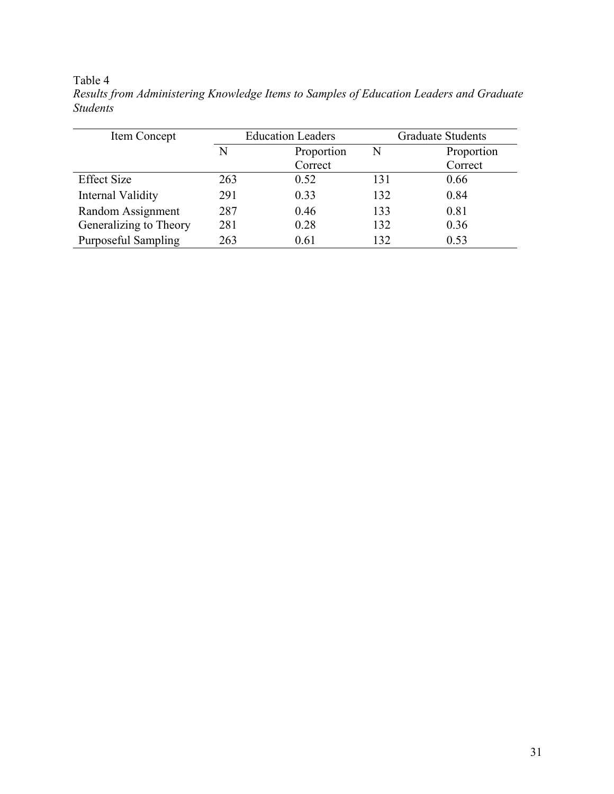# Table 4

| Item Concept               |     | <b>Education Leaders</b> | <b>Graduate Students</b> |            |  |
|----------------------------|-----|--------------------------|--------------------------|------------|--|
|                            | N   | Proportion<br>N          |                          | Proportion |  |
|                            |     | Correct                  |                          | Correct    |  |
| <b>Effect Size</b>         | 263 | 0.52                     | 131                      | 0.66       |  |
| Internal Validity          | 291 | 0.33                     | 132                      | 0.84       |  |
| Random Assignment          | 287 | 0.46                     | 133                      | 0.81       |  |
| Generalizing to Theory     | 281 | 0.28                     | 132                      | 0.36       |  |
| <b>Purposeful Sampling</b> | 263 | 0.61                     | 132                      | 0.53       |  |

*Results from Administering Knowledge Items to Samples of Education Leaders and Graduate Students*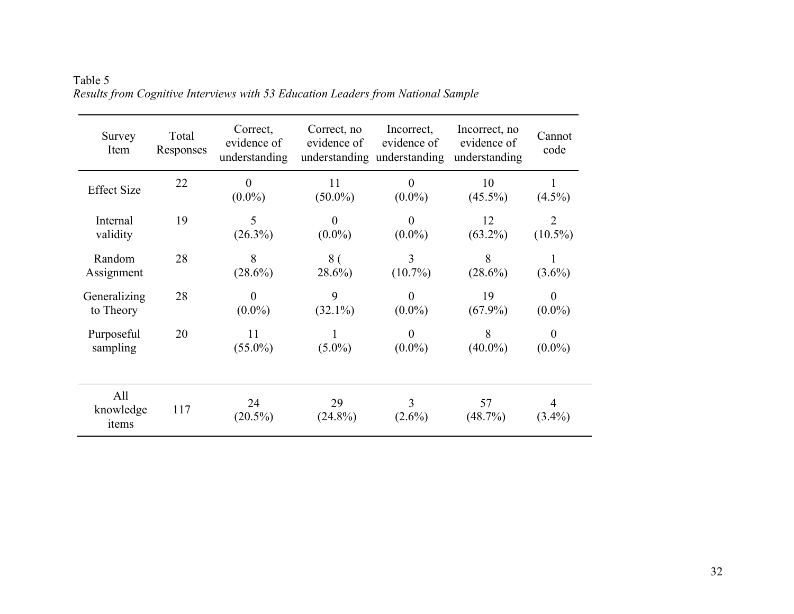| Survey<br>Item            | Total<br>Responses | Correct,<br>evidence of<br>understanding | Correct, no<br>evidence of | Incorrect,<br>evidence of<br>understanding understanding | Incorrect, no<br>evidence of<br>understanding | Cannot<br>code               |
|---------------------------|--------------------|------------------------------------------|----------------------------|----------------------------------------------------------|-----------------------------------------------|------------------------------|
| <b>Effect Size</b>        | 22                 | $\boldsymbol{0}$<br>$(0.0\%)$            | 11<br>$(50.0\%)$           | $\boldsymbol{0}$<br>$(0.0\%)$                            | 10<br>$(45.5\%)$                              | $(4.5\%)$                    |
| Internal<br>validity      | 19                 | 5<br>$(26.3\%)$                          | $\theta$<br>$(0.0\%)$      | $\boldsymbol{0}$<br>$(0.0\%)$                            | 12<br>$(63.2\%)$                              | $\overline{2}$<br>$(10.5\%)$ |
| Random<br>Assignment      | 28                 | 8<br>$(28.6\%)$                          | 8 <sub>0</sub><br>$28.6\%$ | 3<br>$(10.7\%)$                                          | 8<br>$(28.6\%)$                               | $(3.6\%)$                    |
| Generalizing<br>to Theory | 28                 | $\overline{0}$<br>$(0.0\%)$              | 9<br>$(32.1\%)$            | $\boldsymbol{0}$<br>$(0.0\%)$                            | 19<br>$(67.9\%)$                              | $\theta$<br>$(0.0\%)$        |
| Purposeful<br>sampling    | 20                 | 11<br>$(55.0\%)$                         | $(5.0\%)$                  | $\overline{0}$<br>$(0.0\%)$                              | 8<br>$(40.0\%)$                               | $\theta$<br>$(0.0\%)$        |
| All<br>knowledge<br>items | 117                | 24<br>$(20.5\%)$                         | 29<br>$(24.8\%)$           | $\overline{3}$<br>$(2.6\%)$                              | 57<br>(48.7%)                                 | 4<br>$(3.4\%)$               |

Table 5 *Results from Cognitive Interviews with 53 Education Leaders from National Sample*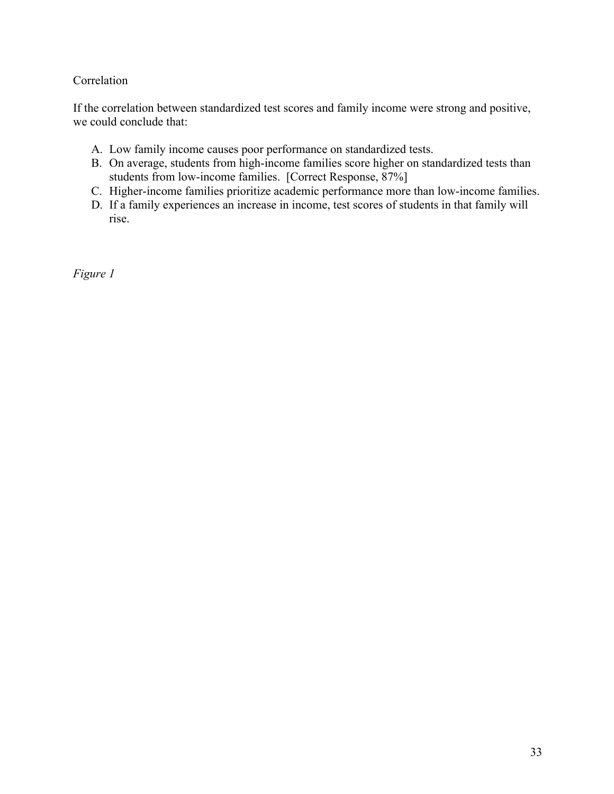# Correlation

If the correlation between standardized test scores and family income were strong and positive, we could conclude that:

- A. Low family income causes poor performance on standardized tests.
- B. On average, students from high-income families score higher on standardized tests than students from low-income families. [Correct Response, 87%]
- C. Higher-income families prioritize academic performance more than low-income families.
- D. If a family experiences an increase in income, test scores of students in that family will rise.

*Figure 1*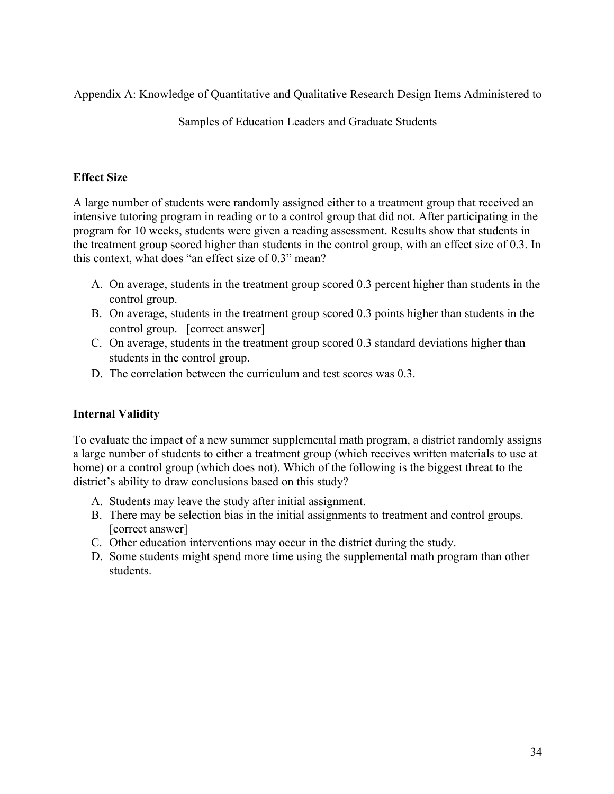Appendix A: Knowledge of Quantitative and Qualitative Research Design Items Administered to

Samples of Education Leaders and Graduate Students

## **Effect Size**

A large number of students were randomly assigned either to a treatment group that received an intensive tutoring program in reading or to a control group that did not. After participating in the program for 10 weeks, students were given a reading assessment. Results show that students in the treatment group scored higher than students in the control group, with an effect size of 0.3. In this context, what does "an effect size of 0.3" mean?

- A. On average, students in the treatment group scored 0.3 percent higher than students in the control group.
- B. On average, students in the treatment group scored 0.3 points higher than students in the control group. [correct answer]
- C. On average, students in the treatment group scored 0.3 standard deviations higher than students in the control group.
- D. The correlation between the curriculum and test scores was 0.3.

## **Internal Validity**

To evaluate the impact of a new summer supplemental math program, a district randomly assigns a large number of students to either a treatment group (which receives written materials to use at home) or a control group (which does not). Which of the following is the biggest threat to the district's ability to draw conclusions based on this study?

- A. Students may leave the study after initial assignment.
- B. There may be selection bias in the initial assignments to treatment and control groups. [correct answer]
- C. Other education interventions may occur in the district during the study.
- D. Some students might spend more time using the supplemental math program than other students.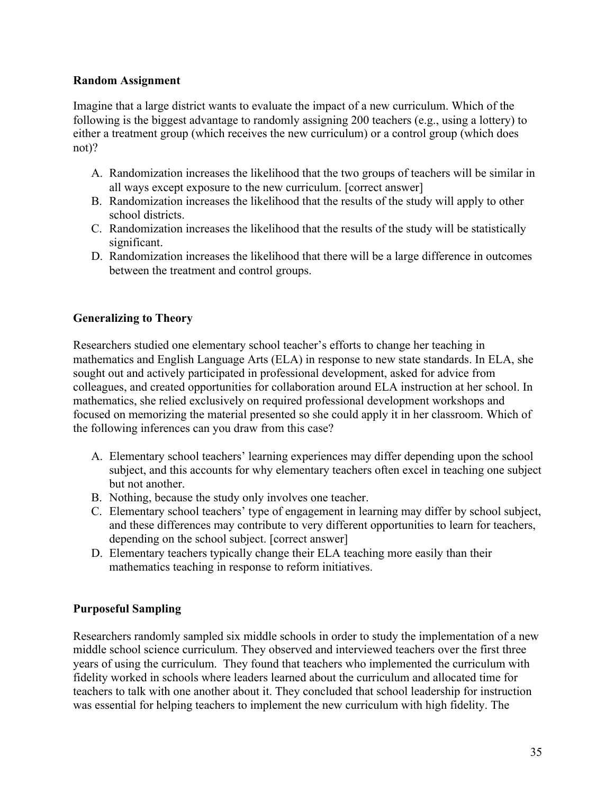## **Random Assignment**

Imagine that a large district wants to evaluate the impact of a new curriculum. Which of the following is the biggest advantage to randomly assigning 200 teachers (e.g., using a lottery) to either a treatment group (which receives the new curriculum) or a control group (which does not)?

- A. Randomization increases the likelihood that the two groups of teachers will be similar in all ways except exposure to the new curriculum. [correct answer]
- B. Randomization increases the likelihood that the results of the study will apply to other school districts.
- C. Randomization increases the likelihood that the results of the study will be statistically significant.
- D. Randomization increases the likelihood that there will be a large difference in outcomes between the treatment and control groups.

## **Generalizing to Theory**

Researchers studied one elementary school teacher's efforts to change her teaching in mathematics and English Language Arts (ELA) in response to new state standards. In ELA, she sought out and actively participated in professional development, asked for advice from colleagues, and created opportunities for collaboration around ELA instruction at her school. In mathematics, she relied exclusively on required professional development workshops and focused on memorizing the material presented so she could apply it in her classroom. Which of the following inferences can you draw from this case?

- A. Elementary school teachers' learning experiences may differ depending upon the school subject, and this accounts for why elementary teachers often excel in teaching one subject but not another.
- B. Nothing, because the study only involves one teacher.
- C. Elementary school teachers' type of engagement in learning may differ by school subject, and these differences may contribute to very different opportunities to learn for teachers, depending on the school subject. [correct answer]
- D. Elementary teachers typically change their ELA teaching more easily than their mathematics teaching in response to reform initiatives.

## **Purposeful Sampling**

Researchers randomly sampled six middle schools in order to study the implementation of a new middle school science curriculum. They observed and interviewed teachers over the first three years of using the curriculum. They found that teachers who implemented the curriculum with fidelity worked in schools where leaders learned about the curriculum and allocated time for teachers to talk with one another about it. They concluded that school leadership for instruction was essential for helping teachers to implement the new curriculum with high fidelity. The